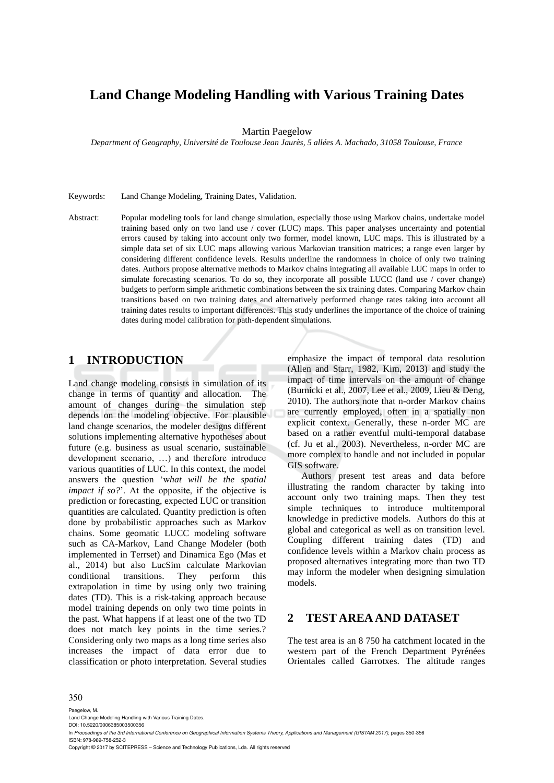# **Land Change Modeling Handling with Various Training Dates**

Martin Paegelow

*Department of Geography, Université de Toulouse Jean Jaurès, 5 allées A. Machado, 31058 Toulouse, France* 

Keywords: Land Change Modeling, Training Dates, Validation.

Abstract: Popular modeling tools for land change simulation, especially those using Markov chains, undertake model training based only on two land use / cover (LUC) maps. This paper analyses uncertainty and potential errors caused by taking into account only two former, model known, LUC maps. This is illustrated by a simple data set of six LUC maps allowing various Markovian transition matrices; a range even larger by considering different confidence levels. Results underline the randomness in choice of only two training dates. Authors propose alternative methods to Markov chains integrating all available LUC maps in order to simulate forecasting scenarios. To do so, they incorporate all possible LUCC (land use / cover change) budgets to perform simple arithmetic combinations between the six training dates. Comparing Markov chain transitions based on two training dates and alternatively performed change rates taking into account all training dates results to important differences. This study underlines the importance of the choice of training dates during model calibration for path-dependent simulations.

### **1 INTRODUCTION**

Land change modeling consists in simulation of its change in terms of quantity and allocation. The amount of changes during the simulation step depends on the modeling objective. For plausible land change scenarios, the modeler designs different solutions implementing alternative hypotheses about future (e.g. business as usual scenario, sustainable development scenario, …) and therefore introduce various quantities of LUC. In this context, the model answers the question 'w*hat will be the spatial impact if so?*'. At the opposite, if the objective is prediction or forecasting, expected LUC or transition quantities are calculated. Quantity prediction is often done by probabilistic approaches such as Markov chains. Some geomatic LUCC modeling software such as CA-Markov, Land Change Modeler (both implemented in Terrset) and Dinamica Ego (Mas et al., 2014) but also LucSim calculate Markovian conditional transitions. They perform this extrapolation in time by using only two training dates (TD). This is a risk-taking approach because model training depends on only two time points in the past. What happens if at least one of the two TD does not match key points in the time series.? Considering only two maps as a long time series also increases the impact of data error due to classification or photo interpretation. Several studies emphasize the impact of temporal data resolution (Allen and Starr, 1982, Kim, 2013) and study the impact of time intervals on the amount of change (Burnicki et al., 2007, Lee et al., 2009, Lieu & Deng, 2010). The authors note that n-order Markov chains are currently employed, often in a spatially non explicit context. Generally, these n-order MC are based on a rather eventful multi-temporal database (cf. Ju et al., 2003). Nevertheless, n-order MC are more complex to handle and not included in popular GIS software.

Authors present test areas and data before illustrating the random character by taking into account only two training maps. Then they test simple techniques to introduce multitemporal knowledge in predictive models. Authors do this at global and categorical as well as on transition level. Coupling different training dates (TD) and confidence levels within a Markov chain process as proposed alternatives integrating more than two TD may inform the modeler when designing simulation models.

# **2 TEST AREA AND DATASET**

The test area is an 8 750 ha catchment located in the western part of the French Department Pyrénées Orientales called Garrotxes. The altitude ranges

#### 350

Paegelow, M.

Land Change Modeling Handling with Various Training Dates. DOI: 10.5220/0006385003500356

In *Proceedings of the 3rd International Conference on Geographical Information Systems Theory, Applications and Management (GISTAM 2017)*, pages 350-356 ISBN: 978-989-758-252-3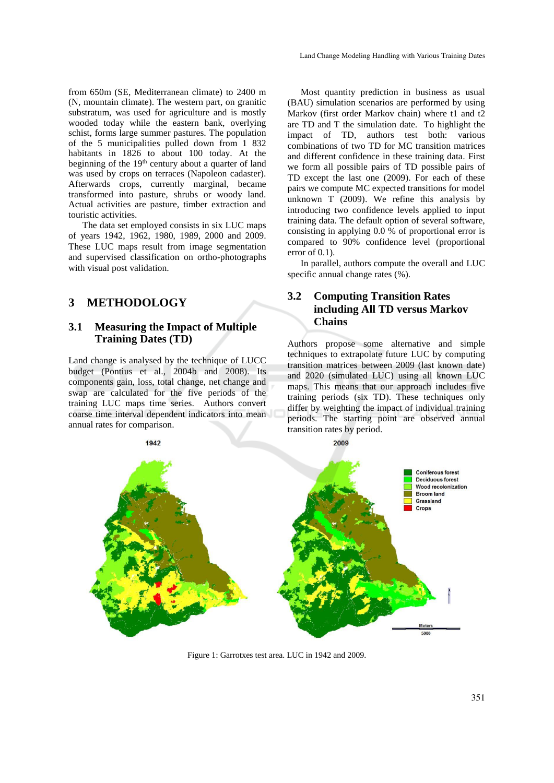from 650m (SE, Mediterranean climate) to 2400 m (N, mountain climate). The western part, on granitic substratum, was used for agriculture and is mostly wooded today while the eastern bank, overlying schist, forms large summer pastures. The population of the 5 municipalities pulled down from 1 832 habitants in 1826 to about 100 today. At the beginning of the 19<sup>th</sup> century about a quarter of land was used by crops on terraces (Napoleon cadaster). Afterwards crops, currently marginal, became transformed into pasture, shrubs or woody land. Actual activities are pasture, timber extraction and touristic activities.

The data set employed consists in six LUC maps of years 1942, 1962, 1980, 1989, 2000 and 2009. These LUC maps result from image segmentation and supervised classification on ortho-photographs with visual post validation.

## **3 METHODOLOGY**

### **3.1 Measuring the Impact of Multiple Training Dates (TD)**

Land change is analysed by the technique of LUCC budget (Pontius et al., 2004b and 2008). Its components gain, loss, total change, net change and swap are calculated for the five periods of the training LUC maps time series. Authors convert coarse time interval dependent indicators into mean annual rates for comparison.

Most quantity prediction in business as usual (BAU) simulation scenarios are performed by using Markov (first order Markov chain) where t1 and t2 are TD and T the simulation date. To highlight the impact of TD, authors test both: various combinations of two TD for MC transition matrices and different confidence in these training data. First we form all possible pairs of TD possible pairs of TD except the last one (2009). For each of these pairs we compute MC expected transitions for model unknown T (2009). We refine this analysis by introducing two confidence levels applied to input training data. The default option of several software, consisting in applying 0.0 % of proportional error is compared to 90% confidence level (proportional error of 0.1).

In parallel, authors compute the overall and LUC specific annual change rates  $(\%).$ 

### **3.2 Computing Transition Rates including All TD versus Markov Chains**

Authors propose some alternative and simple techniques to extrapolate future LUC by computing transition matrices between 2009 (last known date) and 2020 (simulated LUC) using all known LUC maps. This means that our approach includes five training periods (six TD). These techniques only differ by weighting the impact of individual training periods. The starting point are observed annual transition rates by period.



Figure 1: Garrotxes test area. LUC in 1942 and 2009.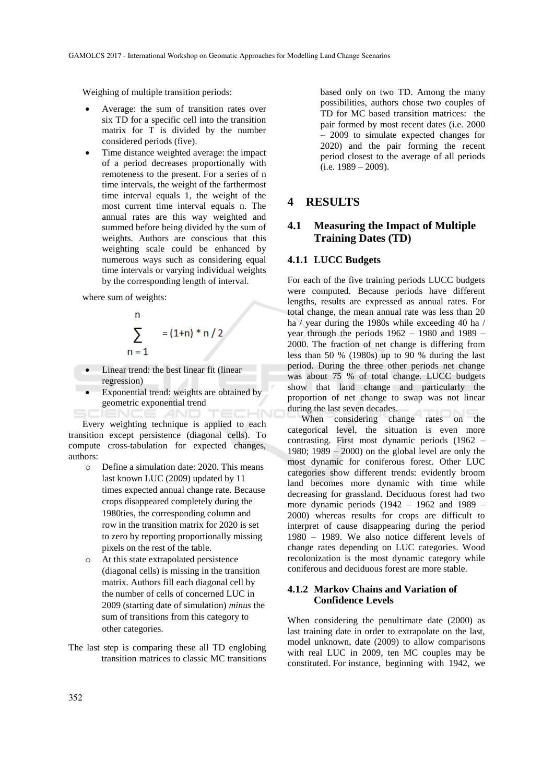Weighing of multiple transition periods:

- Average: the sum of transition rates over six TD for a specific cell into the transition matrix for T is divided by the number considered periods (five).
- Time distance weighted average: the impact of a period decreases proportionally with remoteness to the present. For a series of n time intervals, the weight of the farthermost time interval equals 1, the weight of the most current time interval equals n. The annual rates are this way weighted and summed before being divided by the sum of weights. Authors are conscious that this weighting scale could be enhanced by numerous ways such as considering equal time intervals or varying individual weights by the corresponding length of interval.

where sum of weights:

$$
\sum_{n=1}^{n} = (1+n) * n / 2
$$

- Linear trend: the best linear fit (linear regression)
- Exponential trend: weights are obtained by geometric exponential trend

Every weighting technique is applied to each transition except persistence (diagonal cells). To compute cross-tabulation for expected changes, authors:

- o Define a simulation date: 2020. This means last known LUC (2009) updated by 11 times expected annual change rate. Because crops disappeared completely during the 1980ties, the corresponding column and row in the transition matrix for 2020 is set to zero by reporting proportionally missing pixels on the rest of the table.
- o At this state extrapolated persistence (diagonal cells) is missing in the transition matrix. Authors fill each diagonal cell by the number of cells of concerned LUC in 2009 (starting date of simulation) *minus* the sum of transitions from this category to other categories.
- The last step is comparing these all TD englobing transition matrices to classic MC transitions

based only on two TD. Among the many possibilities, authors chose two couples of TD for MC based transition matrices: the pair formed by most recent dates (i.e. 2000 – 2009 to simulate expected changes for 2020) and the pair forming the recent period closest to the average of all periods  $(i.e. 1989 - 2009)$ .

## **4 RESULTS**

### **4.1 Measuring the Impact of Multiple Training Dates (TD)**

#### **4.1.1 LUCC Budgets**

For each of the five training periods LUCC budgets were computed. Because periods have different lengths, results are expressed as annual rates. For total change, the mean annual rate was less than 20 ha / year during the 1980s while exceeding 40 ha / year through the periods  $1962 - 1980$  and  $1989 -$ 2000. The fraction of net change is differing from less than 50 % (1980s) up to 90 % during the last period. During the three other periods net change was about 75 % of total change. LUCC budgets show that land change and particularly the proportion of net change to swap was not linear during the last seven decades.

When considering change rates on the categorical level, the situation is even more contrasting. First most dynamic periods (1962 – 1980; 1989 – 2000) on the global level are only the most dynamic for coniferous forest. Other LUC categories show different trends: evidently broom land becomes more dynamic with time while decreasing for grassland. Deciduous forest had two more dynamic periods (1942 – 1962 and 1989 – 2000) whereas results for crops are difficult to interpret of cause disappearing during the period 1980 – 1989. We also notice different levels of change rates depending on LUC categories. Wood recolonization is the most dynamic category while coniferous and deciduous forest are more stable.

#### **4.1.2 Markov Chains and Variation of Confidence Levels**

When considering the penultimate date (2000) as last training date in order to extrapolate on the last, model unknown, date (2009) to allow comparisons with real LUC in 2009, ten MC couples may be constituted. For instance, beginning with 1942, we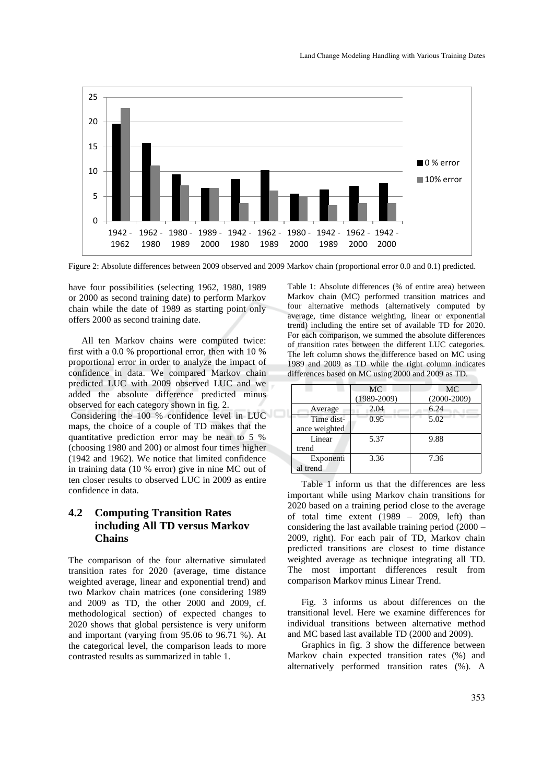

Figure 2: Absolute differences between 2009 observed and 2009 Markov chain (proportional error 0.0 and 0.1) predicted.

have four possibilities (selecting 1962, 1980, 1989 or 2000 as second training date) to perform Markov chain while the date of 1989 as starting point only offers 2000 as second training date.

All ten Markov chains were computed twice: first with a 0.0 % proportional error, then with 10 % proportional error in order to analyze the impact of confidence in data. We compared Markov chain predicted LUC with 2009 observed LUC and we added the absolute difference predicted minus observed for each category shown in fig. 2.

Considering the 100 % confidence level in LUC maps, the choice of a couple of TD makes that the quantitative prediction error may be near to 5 % (choosing 1980 and 200) or almost four times higher (1942 and 1962). We notice that limited confidence in training data (10 % error) give in nine MC out of ten closer results to observed LUC in 2009 as entire confidence in data.

### **4.2 Computing Transition Rates including All TD versus Markov Chains**

The comparison of the four alternative simulated transition rates for 2020 (average, time distance weighted average, linear and exponential trend) and two Markov chain matrices (one considering 1989 and 2009 as TD, the other 2000 and 2009, cf. methodological section) of expected changes to 2020 shows that global persistence is very uniform and important (varying from 95.06 to 96.71 %). At the categorical level, the comparison leads to more contrasted results as summarized in table 1.

Table 1: Absolute differences (% of entire area) between Markov chain (MC) performed transition matrices and four alternative methods (alternatively computed by average, time distance weighting, linear or exponential trend) including the entire set of available TD for 2020. For each comparison, we summed the absolute differences of transition rates between the different LUC categories. The left column shows the difference based on MC using 1989 and 2009 as TD while the right column indicates differences based on MC using 2000 and 2009 as TD.

|               | MC.             | MC            |
|---------------|-----------------|---------------|
|               | $(1989 - 2009)$ | $(2000-2009)$ |
| Average       | 2.04            | 6.24          |
| Time dist-    | 0.95            | 5.02          |
| ance weighted |                 |               |
| Linear        | 5.37            | 9.88          |
| trend         |                 |               |
| Exponenti     | 3.36            | 7.36          |
| al trend      |                 |               |

Table 1 inform us that the differences are less important while using Markov chain transitions for 2020 based on a training period close to the average of total time extent (1989 – 2009, left) than considering the last available training period (2000 – 2009, right). For each pair of TD, Markov chain predicted transitions are closest to time distance weighted average as technique integrating all TD. The most important differences result from comparison Markov minus Linear Trend.

Fig. 3 informs us about differences on the transitional level. Here we examine differences for individual transitions between alternative method and MC based last available TD (2000 and 2009).

Graphics in fig. 3 show the difference between Markov chain expected transition rates (%) and alternatively performed transition rates (%). A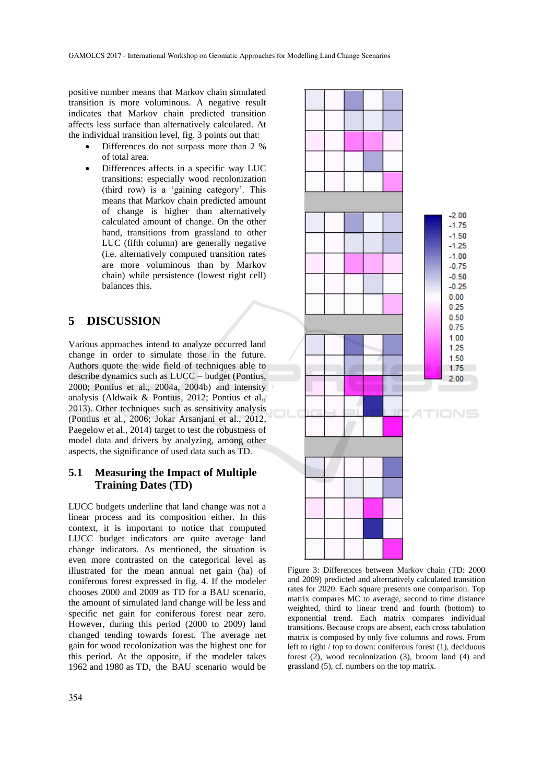positive number means that Markov chain simulated transition is more voluminous. A negative result indicates that Markov chain predicted transition affects less surface than alternatively calculated. At the individual transition level, fig. 3 points out that:

- Differences do not surpass more than 2 % of total area.
- Differences affects in a specific way LUC transitions: especially wood recolonization (third row) is a 'gaining category'. This means that Markov chain predicted amount of change is higher than alternatively calculated amount of change. On the other hand, transitions from grassland to other LUC (fifth column) are generally negative (i.e. alternatively computed transition rates are more voluminous than by Markov chain) while persistence (lowest right cell) balances this.

### **5 DISCUSSION**

Various approaches intend to analyze occurred land change in order to simulate those in the future. Authors quote the wide field of techniques able to describe dynamics such as LUCC – budget (Pontius, 2000; Pontius et al., 2004a, 2004b) and intensity analysis (Aldwaik & Pontius, 2012; Pontius et al., 2013). Other techniques such as sensitivity analysis (Pontius et al., 2006; Jokar Arsanjani et al., 2012, Paegelow et al., 2014) target to test the robustness of model data and drivers by analyzing, among other aspects, the significance of used data such as TD.

### **5.1 Measuring the Impact of Multiple Training Dates (TD)**

LUCC budgets underline that land change was not a linear process and its composition either. In this context, it is important to notice that computed LUCC budget indicators are quite average land change indicators. As mentioned, the situation is even more contrasted on the categorical level as illustrated for the mean annual net gain (ha) of coniferous forest expressed in fig. 4. If the modeler chooses 2000 and 2009 as TD for a BAU scenario, the amount of simulated land change will be less and specific net gain for coniferous forest near zero. However, during this period (2000 to 2009) land changed tending towards forest. The average net gain for wood recolonization was the highest one for this period. At the opposite, if the modeler takes 1962 and 1980 as TD, the BAU scenario would be



Figure 3: Differences between Markov chain (TD: 2000 and 2009) predicted and alternatively calculated transition rates for 2020. Each square presents one comparison. Top matrix compares MC to average, second to time distance weighted, third to linear trend and fourth (bottom) to exponential trend. Each matrix compares individual transitions. Because crops are absent, each cross tabulation matrix is composed by only five columns and rows. From left to right / top to down: coniferous forest (1), deciduous forest (2), wood recolonization (3), broom land (4) and grassland (5), cf. numbers on the top matrix.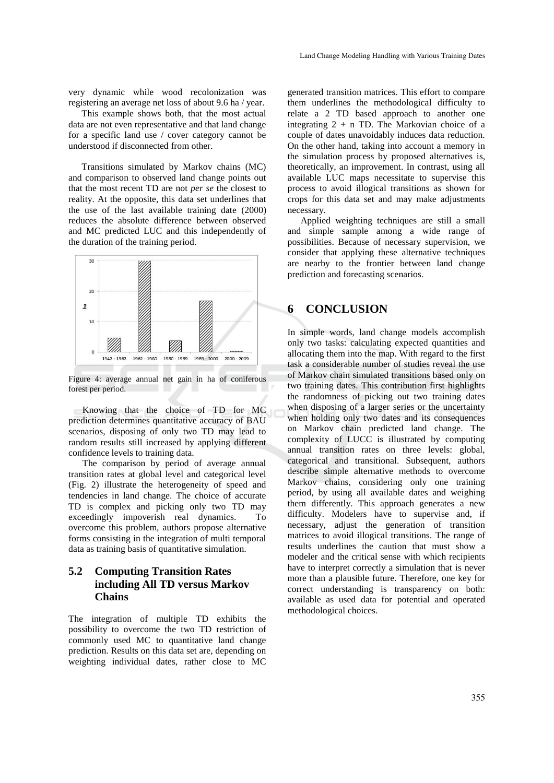very dynamic while wood recolonization was registering an average net loss of about 9.6 ha / year.

This example shows both, that the most actual data are not even representative and that land change for a specific land use / cover category cannot be understood if disconnected from other.

Transitions simulated by Markov chains (MC) and comparison to observed land change points out that the most recent TD are not *per se* the closest to reality. At the opposite, this data set underlines that the use of the last available training date (2000) reduces the absolute difference between observed and MC predicted LUC and this independently of the duration of the training period.



Figure 4: average annual net gain in ha of coniferous forest per period.

Knowing that the choice of TD for MC prediction determines quantitative accuracy of BAU scenarios, disposing of only two TD may lead to random results still increased by applying different confidence levels to training data.

The comparison by period of average annual transition rates at global level and categorical level (Fig. 2) illustrate the heterogeneity of speed and tendencies in land change. The choice of accurate TD is complex and picking only two TD may exceedingly impoverish real dynamics. To overcome this problem, authors propose alternative forms consisting in the integration of multi temporal data as training basis of quantitative simulation.

### **5.2 Computing Transition Rates including All TD versus Markov Chains**

The integration of multiple TD exhibits the possibility to overcome the two TD restriction of commonly used MC to quantitative land change prediction. Results on this data set are, depending on weighting individual dates, rather close to MC

generated transition matrices. This effort to compare them underlines the methodological difficulty to relate a 2 TD based approach to another one integrating  $2 + n$  TD. The Markovian choice of a couple of dates unavoidably induces data reduction. On the other hand, taking into account a memory in the simulation process by proposed alternatives is, theoretically, an improvement. In contrast, using all available LUC maps necessitate to supervise this process to avoid illogical transitions as shown for crops for this data set and may make adjustments necessary.

Applied weighting techniques are still a small and simple sample among a wide range of possibilities. Because of necessary supervision, we consider that applying these alternative techniques are nearby to the frontier between land change prediction and forecasting scenarios.

## **6 CONCLUSION**

In simple words, land change models accomplish only two tasks: calculating expected quantities and allocating them into the map. With regard to the first task a considerable number of studies reveal the use of Markov chain simulated transitions based only on two training dates. This contribution first highlights the randomness of picking out two training dates when disposing of a larger series or the uncertainty when holding only two dates and its consequences on Markov chain predicted land change. The complexity of LUCC is illustrated by computing annual transition rates on three levels: global, categorical and transitional. Subsequent, authors describe simple alternative methods to overcome Markov chains, considering only one training period, by using all available dates and weighing them differently. This approach generates a new difficulty. Modelers have to supervise and, if necessary, adjust the generation of transition matrices to avoid illogical transitions. The range of results underlines the caution that must show a modeler and the critical sense with which recipients have to interpret correctly a simulation that is never more than a plausible future. Therefore, one key for correct understanding is transparency on both: available as used data for potential and operated methodological choices.